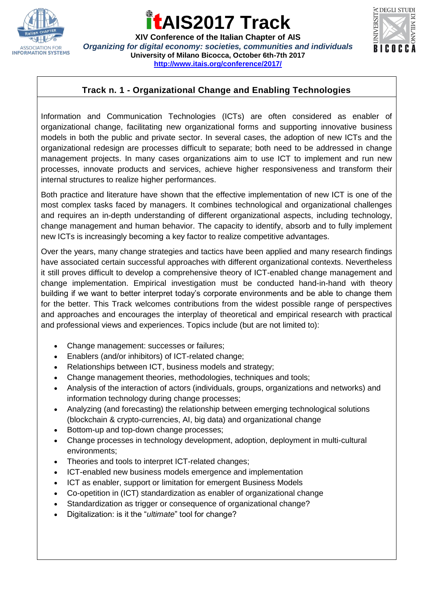

**XIV Conference of the Italian Chapter of AIS** *Organizing for digital economy: societies, communities and individuals* **University of Milano Bicocca, October 6th-7th 2017 <http://www.itais.org/conference/2017/>**



### **Track n. 1 - Organizational Change and Enabling Technologies**

Information and Communication Technologies (ICTs) are often considered as enabler of organizational change, facilitating new organizational forms and supporting innovative business models in both the public and private sector. In several cases, the adoption of new ICTs and the organizational redesign are processes difficult to separate; both need to be addressed in change management projects. In many cases organizations aim to use ICT to implement and run new processes, innovate products and services, achieve higher responsiveness and transform their internal structures to realize higher performances.

Both practice and literature have shown that the effective implementation of new ICT is one of the most complex tasks faced by managers. It combines technological and organizational challenges and requires an in-depth understanding of different organizational aspects, including technology, change management and human behavior. The capacity to identify, absorb and to fully implement new ICTs is increasingly becoming a key factor to realize competitive advantages.

Over the years, many change strategies and tactics have been applied and many research findings have associated certain successful approaches with different organizational contexts. Nevertheless it still proves difficult to develop a comprehensive theory of ICT-enabled change management and change implementation. Empirical investigation must be conducted hand-in-hand with theory building if we want to better interpret today's corporate environments and be able to change them for the better. This Track welcomes contributions from the widest possible range of perspectives and approaches and encourages the interplay of theoretical and empirical research with practical and professional views and experiences. Topics include (but are not limited to):

- Change management: successes or failures;
- Enablers (and/or inhibitors) of ICT-related change;
- Relationships between ICT, business models and strategy;
- Change management theories, methodologies, techniques and tools;
- Analysis of the interaction of actors (individuals, groups, organizations and networks) and information technology during change processes;
- Analyzing (and forecasting) the relationship between emerging technological solutions (blockchain & crypto-currencies, AI, big data) and organizational change
- Bottom-up and top-down change processes;
- Change processes in technology development, adoption, deployment in multi-cultural environments;
- Theories and tools to interpret ICT-related changes;
- ICT-enabled new business models emergence and implementation
- ICT as enabler, support or limitation for emergent Business Models
- Co-opetition in (ICT) standardization as enabler of organizational change
- Standardization as trigger or consequence of organizational change?
- Digitalization: is it the "*ultimate*" tool for change?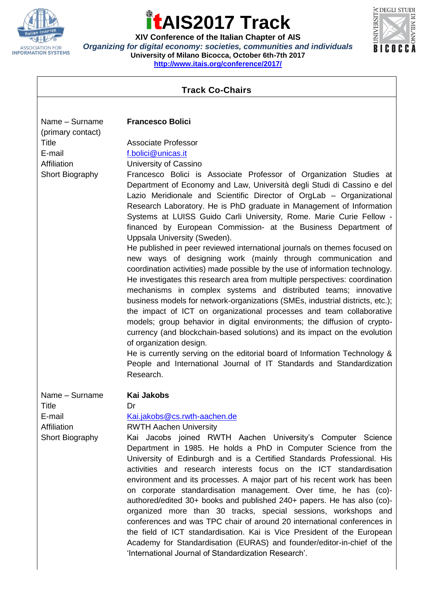

**XIV Conference of the Italian Chapter of AIS** *Organizing for digital economy: societies, communities and individuals* **University of Milano Bicocca, October 6th-7th 2017 <http://www.itais.org/conference/2017/>**



| <b>Track Co-Chairs</b>                                                                          |                                                                                                                                                                                                                                                                                                                                                                                                                                                                                                                                                                                                                                                                                                                                                                                                                                                                                                                                                                                                                                                                                                                                                                                                                                                                                                                                                                                                                                                                              |
|-------------------------------------------------------------------------------------------------|------------------------------------------------------------------------------------------------------------------------------------------------------------------------------------------------------------------------------------------------------------------------------------------------------------------------------------------------------------------------------------------------------------------------------------------------------------------------------------------------------------------------------------------------------------------------------------------------------------------------------------------------------------------------------------------------------------------------------------------------------------------------------------------------------------------------------------------------------------------------------------------------------------------------------------------------------------------------------------------------------------------------------------------------------------------------------------------------------------------------------------------------------------------------------------------------------------------------------------------------------------------------------------------------------------------------------------------------------------------------------------------------------------------------------------------------------------------------------|
|                                                                                                 |                                                                                                                                                                                                                                                                                                                                                                                                                                                                                                                                                                                                                                                                                                                                                                                                                                                                                                                                                                                                                                                                                                                                                                                                                                                                                                                                                                                                                                                                              |
| Name - Surname<br>(primary contact)<br><b>Title</b><br>E-mail<br>Affiliation<br>Short Biography | <b>Francesco Bolici</b><br><b>Associate Professor</b><br>f.bolici@unicas.it<br>University of Cassino<br>Francesco Bolici is Associate Professor of Organization Studies at<br>Department of Economy and Law, Università degli Studi di Cassino e del<br>Lazio Meridionale and Scientific Director of OrgLab - Organizational<br>Research Laboratory. He is PhD graduate in Management of Information<br>Systems at LUISS Guido Carli University, Rome. Marie Curie Fellow -<br>financed by European Commission- at the Business Department of<br>Uppsala University (Sweden).<br>He published in peer reviewed international journals on themes focused on<br>new ways of designing work (mainly through communication and<br>coordination activities) made possible by the use of information technology.<br>He investigates this research area from multiple perspectives: coordination<br>mechanisms in complex systems and distributed teams; innovative<br>business models for network-organizations (SMEs, industrial districts, etc.);<br>the impact of ICT on organizational processes and team collaborative<br>models; group behavior in digital environments; the diffusion of crypto-<br>currency (and blockchain-based solutions) and its impact on the evolution<br>of organization design.<br>He is currently serving on the editorial board of Information Technology &<br>People and International Journal of IT Standards and Standardization<br>Research. |
| Name - Surname<br>Title<br>E-mail<br>Affiliation<br>Short Biography                             | Kai Jakobs<br>Dr<br>Kai.jakobs@cs.rwth-aachen.de<br><b>RWTH Aachen University</b><br>Kai Jacobs joined RWTH Aachen University's Computer Science<br>Department in 1985. He holds a PhD in Computer Science from the<br>University of Edinburgh and is a Certified Standards Professional. His<br>activities and research interests focus on the ICT standardisation<br>environment and its processes. A major part of his recent work has been<br>on corporate standardisation management. Over time, he has (co)-<br>authored/edited 30+ books and published 240+ papers. He has also (co)-<br>organized more than 30 tracks, special sessions, workshops and<br>conferences and was TPC chair of around 20 international conferences in<br>the field of ICT standardisation. Kai is Vice President of the European<br>Academy for Standardisation (EURAS) and founder/editor-in-chief of the<br>'International Journal of Standardization Research'.                                                                                                                                                                                                                                                                                                                                                                                                                                                                                                                       |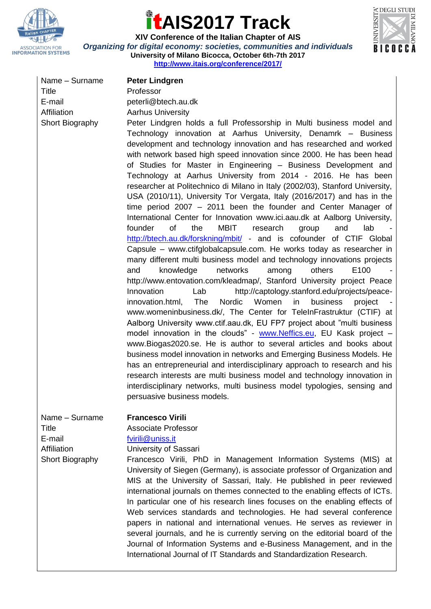



**XIV Conference of the Italian Chapter of AIS** *Organizing for digital economy: societies, communities and individuals* **University of Milano Bicocca, October 6th-7th 2017 <http://www.itais.org/conference/2017/>**

| Name - Surname  | <b>Peter Lindgren</b>                                                                                                                                                                                                                                                                                                                                                                                                                                                                                                                                                                                                                                                                                                                                                                                                                                                                                                                                                                                                                                                                                                                                                                                                                                                                                                                                                                                                                                                                                                                                                                                                                                                                                                                                                                                                                                                                                                                                                             |
|-----------------|-----------------------------------------------------------------------------------------------------------------------------------------------------------------------------------------------------------------------------------------------------------------------------------------------------------------------------------------------------------------------------------------------------------------------------------------------------------------------------------------------------------------------------------------------------------------------------------------------------------------------------------------------------------------------------------------------------------------------------------------------------------------------------------------------------------------------------------------------------------------------------------------------------------------------------------------------------------------------------------------------------------------------------------------------------------------------------------------------------------------------------------------------------------------------------------------------------------------------------------------------------------------------------------------------------------------------------------------------------------------------------------------------------------------------------------------------------------------------------------------------------------------------------------------------------------------------------------------------------------------------------------------------------------------------------------------------------------------------------------------------------------------------------------------------------------------------------------------------------------------------------------------------------------------------------------------------------------------------------------|
| Title           | Professor                                                                                                                                                                                                                                                                                                                                                                                                                                                                                                                                                                                                                                                                                                                                                                                                                                                                                                                                                                                                                                                                                                                                                                                                                                                                                                                                                                                                                                                                                                                                                                                                                                                                                                                                                                                                                                                                                                                                                                         |
| E-mail          | peterli@btech.au.dk                                                                                                                                                                                                                                                                                                                                                                                                                                                                                                                                                                                                                                                                                                                                                                                                                                                                                                                                                                                                                                                                                                                                                                                                                                                                                                                                                                                                                                                                                                                                                                                                                                                                                                                                                                                                                                                                                                                                                               |
| Affiliation     | <b>Aarhus University</b>                                                                                                                                                                                                                                                                                                                                                                                                                                                                                                                                                                                                                                                                                                                                                                                                                                                                                                                                                                                                                                                                                                                                                                                                                                                                                                                                                                                                                                                                                                                                                                                                                                                                                                                                                                                                                                                                                                                                                          |
| Short Biography | Peter Lindgren holds a full Professorship in Multi business model and<br>Technology innovation at Aarhus University, Denamrk - Business<br>development and technology innovation and has researched and worked<br>with network based high speed innovation since 2000. He has been head<br>of Studies for Master in Engineering - Business Development and<br>Technology at Aarhus University from 2014 - 2016. He has been<br>researcher at Politechnico di Milano in Italy (2002/03), Stanford University,<br>USA (2010/11), University Tor Vergata, Italy (2016/2017) and has in the<br>time period 2007 - 2011 been the founder and Center Manager of<br>International Center for Innovation www.ici.aau.dk at Aalborg University,<br>of<br>the<br><b>MBIT</b><br>founder<br>research<br>and<br>lab<br>group<br>http://btech.au.dk/forskning/mbit/ - and is cofounder of CTIF Global<br>Capsule – www.ctifglobalcapsule.com. He works today as researcher in<br>many different multi business model and technology innovations projects<br>networks<br>others<br>E100<br>and<br>knowledge<br>among<br>http://www.entovation.com/kleadmap/, Stanford University project Peace<br>http://captology.stanford.edu/projects/peace-<br>Innovation<br>Lab<br>innovation.html,<br>The<br>Nordic<br>Women<br>business<br>in<br>project<br>www.womeninbusiness.dk/, The Center for TeleInFrastruktur (CTIF) at<br>Aalborg University www.ctif.aau.dk, EU FP7 project about "multi business"<br>model innovation in the clouds" - www.Neffics.eu, EU Kask project -<br>www.Biogas2020.se. He is author to several articles and books about<br>business model innovation in networks and Emerging Business Models. He<br>has an entrepreneurial and interdisciplinary approach to research and his<br>research interests are multi business model and technology innovation in<br>interdisciplinary networks, multi business model typologies, sensing and<br>persuasive business models. |
|                 |                                                                                                                                                                                                                                                                                                                                                                                                                                                                                                                                                                                                                                                                                                                                                                                                                                                                                                                                                                                                                                                                                                                                                                                                                                                                                                                                                                                                                                                                                                                                                                                                                                                                                                                                                                                                                                                                                                                                                                                   |
| Name - Surname  | <b>Francesco Virili</b>                                                                                                                                                                                                                                                                                                                                                                                                                                                                                                                                                                                                                                                                                                                                                                                                                                                                                                                                                                                                                                                                                                                                                                                                                                                                                                                                                                                                                                                                                                                                                                                                                                                                                                                                                                                                                                                                                                                                                           |
| <b>Title</b>    | <b>Associate Professor</b>                                                                                                                                                                                                                                                                                                                                                                                                                                                                                                                                                                                                                                                                                                                                                                                                                                                                                                                                                                                                                                                                                                                                                                                                                                                                                                                                                                                                                                                                                                                                                                                                                                                                                                                                                                                                                                                                                                                                                        |
| E-mail          | fvirili@uniss.it                                                                                                                                                                                                                                                                                                                                                                                                                                                                                                                                                                                                                                                                                                                                                                                                                                                                                                                                                                                                                                                                                                                                                                                                                                                                                                                                                                                                                                                                                                                                                                                                                                                                                                                                                                                                                                                                                                                                                                  |
| Affiliation     | University of Sassari                                                                                                                                                                                                                                                                                                                                                                                                                                                                                                                                                                                                                                                                                                                                                                                                                                                                                                                                                                                                                                                                                                                                                                                                                                                                                                                                                                                                                                                                                                                                                                                                                                                                                                                                                                                                                                                                                                                                                             |
| Short Biography | Francesco Virili, PhD in Management Information Systems (MIS) at<br>University of Siegen (Germany), is associate professor of Organization and<br>MIS at the University of Sassari, Italy. He published in peer reviewed<br>international journals on themes connected to the enabling effects of ICTs.                                                                                                                                                                                                                                                                                                                                                                                                                                                                                                                                                                                                                                                                                                                                                                                                                                                                                                                                                                                                                                                                                                                                                                                                                                                                                                                                                                                                                                                                                                                                                                                                                                                                           |

In particular one of his research lines focuses on the enabling effects of Web services standards and technologies. He had several conference papers in national and international venues. He serves as reviewer in several journals, and he is currently serving on the editorial board of the Journal of Information Systems and e-Business Management, and in the International Journal of IT Standards and Standardization Research.